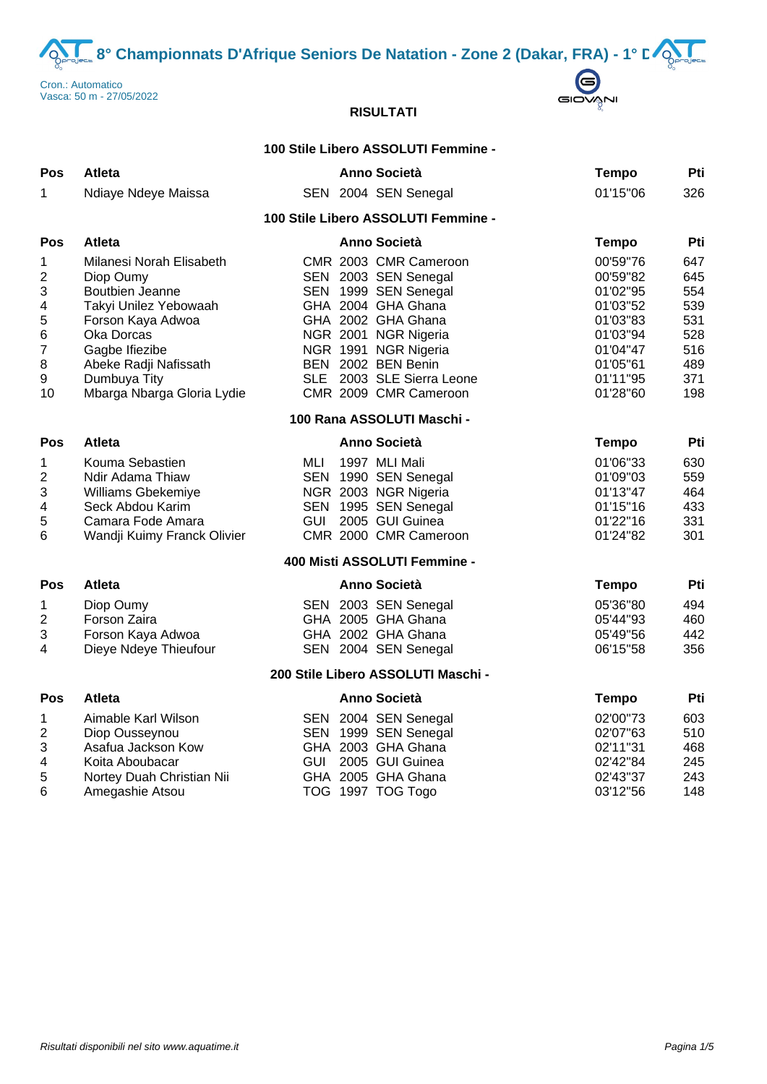**8° Championnats D'Afrique Seniors De Natation - Zone 2 (Dakar, FRA) - 1° DOD** 





# **RISULTATI**

### **100 Stile Libero ASSOLUTI Femmine -**

| Pos                                                                                                   | <b>Atleta</b>                                                                                                                                                                                                 | Anno Società                                                                                                                                                                                                                                  | <b>Tempo</b>                                                                                                         | Pti                                                                |
|-------------------------------------------------------------------------------------------------------|---------------------------------------------------------------------------------------------------------------------------------------------------------------------------------------------------------------|-----------------------------------------------------------------------------------------------------------------------------------------------------------------------------------------------------------------------------------------------|----------------------------------------------------------------------------------------------------------------------|--------------------------------------------------------------------|
| 1                                                                                                     | Ndiaye Ndeye Maissa                                                                                                                                                                                           | SEN 2004 SEN Senegal                                                                                                                                                                                                                          | 01'15"06                                                                                                             | 326                                                                |
|                                                                                                       |                                                                                                                                                                                                               | 100 Stile Libero ASSOLUTI Femmine -                                                                                                                                                                                                           |                                                                                                                      |                                                                    |
| <b>Pos</b>                                                                                            | <b>Atleta</b>                                                                                                                                                                                                 | <b>Anno Società</b>                                                                                                                                                                                                                           | <b>Tempo</b>                                                                                                         | Pti                                                                |
| 1<br>$\mathbf 2$<br>3<br>4<br>5<br>$\,6$<br>7<br>$\bf 8$<br>$\boldsymbol{9}$<br>10                    | Milanesi Norah Elisabeth<br>Diop Oumy<br>Boutbien Jeanne<br>Takyi Unilez Yebowaah<br>Forson Kaya Adwoa<br>Oka Dorcas<br>Gagbe Ifiezibe<br>Abeke Radji Nafissath<br>Dumbuya Tity<br>Mbarga Nbarga Gloria Lydie | CMR 2003 CMR Cameroon<br>SEN 2003 SEN Senegal<br>SEN 1999 SEN Senegal<br>GHA 2004 GHA Ghana<br>GHA 2002 GHA Ghana<br>NGR 2001 NGR Nigeria<br>NGR 1991 NGR Nigeria<br>BEN 2002 BEN Benin<br>SLE 2003 SLE Sierra Leone<br>CMR 2009 CMR Cameroon | 00'59"76<br>00'59"82<br>01'02"95<br>01'03"52<br>01'03"83<br>01'03"94<br>01'04"47<br>01'05"61<br>01'11"95<br>01'28"60 | 647<br>645<br>554<br>539<br>531<br>528<br>516<br>489<br>371<br>198 |
|                                                                                                       |                                                                                                                                                                                                               | 100 Rana ASSOLUTI Maschi -                                                                                                                                                                                                                    |                                                                                                                      |                                                                    |
| Pos                                                                                                   | <b>Atleta</b>                                                                                                                                                                                                 | <b>Anno Società</b>                                                                                                                                                                                                                           | <b>Tempo</b>                                                                                                         | Pti                                                                |
| 1<br>$\boldsymbol{2}$<br>$\ensuremath{\mathsf{3}}$<br>$\overline{\mathbf{4}}$<br>5<br>$6\phantom{1}6$ | Kouma Sebastien<br>Ndir Adama Thiaw<br>Williams Gbekemiye<br>Seck Abdou Karim<br>Camara Fode Amara<br>Wandji Kuimy Franck Olivier                                                                             | MLI<br>1997 MLI Mali<br>SEN 1990 SEN Senegal<br>NGR 2003 NGR Nigeria<br>SEN 1995 SEN Senegal<br><b>GUI</b><br>2005 GUI Guinea<br>CMR 2000 CMR Cameroon                                                                                        | 01'06"33<br>01'09"03<br>01'13"47<br>01'15"16<br>01'22"16<br>01'24"82                                                 | 630<br>559<br>464<br>433<br>331<br>301                             |
|                                                                                                       |                                                                                                                                                                                                               | 400 Misti ASSOLUTI Femmine -                                                                                                                                                                                                                  |                                                                                                                      |                                                                    |
| <b>Pos</b>                                                                                            | <b>Atleta</b>                                                                                                                                                                                                 | Anno Società                                                                                                                                                                                                                                  | <b>Tempo</b>                                                                                                         | Pti                                                                |
| 1<br>$\mathbf 2$<br>$\ensuremath{\mathsf{3}}$<br>4                                                    | Diop Oumy<br>Forson Zaira<br>Forson Kaya Adwoa<br>Dieye Ndeye Thieufour                                                                                                                                       | SEN 2003 SEN Senegal<br>GHA 2005 GHA Ghana<br>GHA 2002 GHA Ghana<br>SEN 2004 SEN Senegal                                                                                                                                                      | 05'36"80<br>05'44"93<br>05'49"56<br>06'15"58                                                                         | 494<br>460<br>442<br>356                                           |
|                                                                                                       |                                                                                                                                                                                                               | 200 Stile Libero ASSOLUTI Maschi -                                                                                                                                                                                                            |                                                                                                                      |                                                                    |
| <b>Pos</b>                                                                                            | <b>Atleta</b>                                                                                                                                                                                                 | <b>Anno Società</b>                                                                                                                                                                                                                           | <b>Tempo</b>                                                                                                         | Pti                                                                |
| 1<br>$\overline{\mathbf{c}}$<br>$\mathbf{3}$<br>$\overline{\mathbf{4}}$<br>5<br>$6\phantom{1}6$       | Aimable Karl Wilson<br>Diop Ousseynou<br>Asafua Jackson Kow<br>Koita Aboubacar<br>Nortey Duah Christian Nii<br>Amegashie Atsou                                                                                | SEN 2004 SEN Senegal<br>SEN 1999 SEN Senegal<br>GHA 2003 GHA Ghana<br><b>GUI</b><br>2005 GUI Guinea<br>GHA 2005 GHA Ghana<br>TOG 1997 TOG Togo                                                                                                | 02'00"73<br>02'07"63<br>02'11"31<br>02'42"84<br>02'43"37<br>03'12"56                                                 | 603<br>510<br>468<br>245<br>243<br>148                             |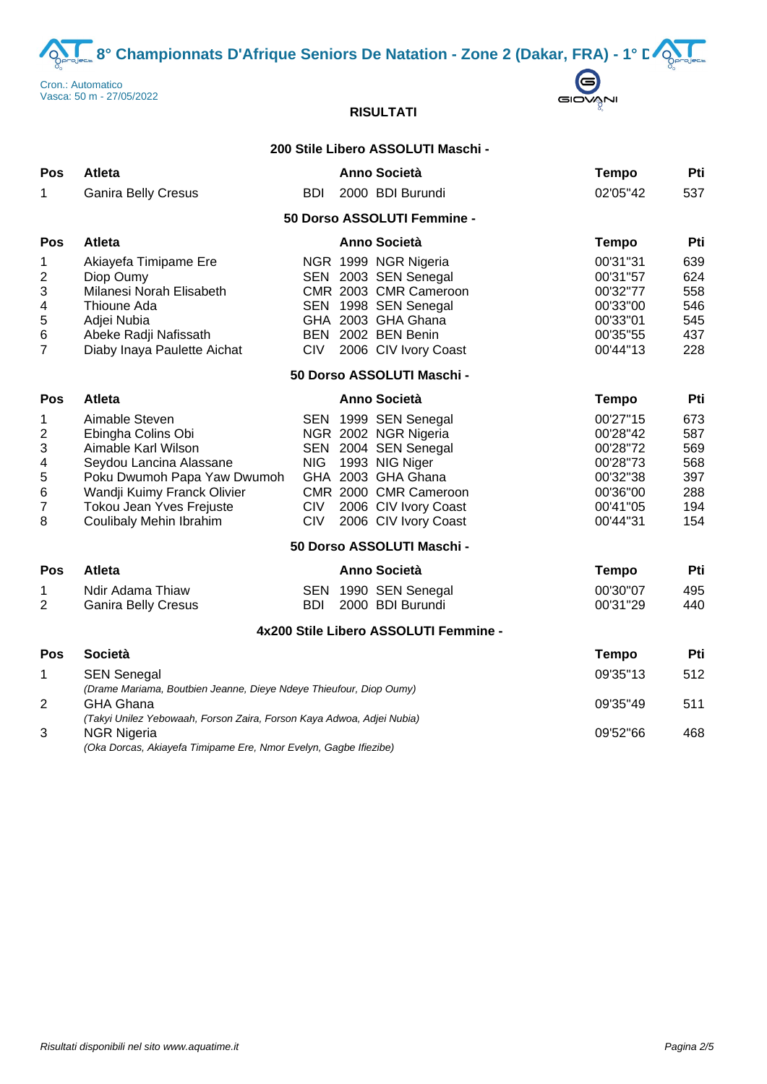**8° Championnats D'Afrique Seniors De Natation - Zone 2 (Dakar, FRA) - 1° DOS**<br> **CONSILIBRATION**<br> **CONSILIBRATION**<br> **CONSILIBRATION** 





# **RISULTATI**

## **200 Stile Libero ASSOLUTI Maschi -**

| Pos                                                                             | Atleta                                                                                                                                                                                                      |                                        | Anno Società                                                                                                                                                                          | <b>Tempo</b>                                                                                 | Pti                                                  |
|---------------------------------------------------------------------------------|-------------------------------------------------------------------------------------------------------------------------------------------------------------------------------------------------------------|----------------------------------------|---------------------------------------------------------------------------------------------------------------------------------------------------------------------------------------|----------------------------------------------------------------------------------------------|------------------------------------------------------|
| 1                                                                               | <b>Ganira Belly Cresus</b>                                                                                                                                                                                  | <b>BDI</b>                             | 2000 BDI Burundi                                                                                                                                                                      | 02'05"42                                                                                     | 537                                                  |
|                                                                                 |                                                                                                                                                                                                             |                                        | 50 Dorso ASSOLUTI Femmine -                                                                                                                                                           |                                                                                              |                                                      |
| Pos                                                                             | <b>Atleta</b>                                                                                                                                                                                               |                                        | <b>Anno Società</b>                                                                                                                                                                   | <b>Tempo</b>                                                                                 | Pti                                                  |
| 1<br>$\boldsymbol{2}$<br>3<br>4<br>$\mathbf 5$<br>$\,6$<br>$\overline{7}$       | Akiayefa Timipame Ere<br>Diop Oumy<br>Milanesi Norah Elisabeth<br>Thioune Ada<br>Adjei Nubia<br>Abeke Radji Nafissath<br>Diaby Inaya Paulette Aichat                                                        | <b>CIV</b>                             | NGR 1999 NGR Nigeria<br>SEN 2003 SEN Senegal<br>CMR 2003 CMR Cameroon<br>SEN 1998 SEN Senegal<br>GHA 2003 GHA Ghana<br>BEN 2002 BEN Benin<br>2006 CIV Ivory Coast                     | 00'31"31<br>00'31"57<br>00'32"77<br>00'33"00<br>00'33"01<br>00'35"55<br>00'44"13             | 639<br>624<br>558<br>546<br>545<br>437<br>228        |
|                                                                                 |                                                                                                                                                                                                             |                                        | 50 Dorso ASSOLUTI Maschi -                                                                                                                                                            |                                                                                              |                                                      |
| Pos                                                                             | <b>Atleta</b>                                                                                                                                                                                               |                                        | <b>Anno Società</b>                                                                                                                                                                   | <b>Tempo</b>                                                                                 | Pti                                                  |
| 1<br>$\boldsymbol{2}$<br>$\ensuremath{\mathsf{3}}$<br>4<br>5<br>$\,6$<br>7<br>8 | Aimable Steven<br>Ebingha Colins Obi<br>Aimable Karl Wilson<br>Seydou Lancina Alassane<br>Poku Dwumoh Papa Yaw Dwumoh<br>Wandji Kuimy Franck Olivier<br>Tokou Jean Yves Frejuste<br>Coulibaly Mehin Ibrahim | <b>NIG</b><br><b>CIV</b><br><b>CIV</b> | SEN 1999 SEN Senegal<br>NGR 2002 NGR Nigeria<br>SEN 2004 SEN Senegal<br>1993 NIG Niger<br>GHA 2003 GHA Ghana<br>CMR 2000 CMR Cameroon<br>2006 CIV Ivory Coast<br>2006 CIV Ivory Coast | 00'27"15<br>00'28"42<br>00'28"72<br>00'28"73<br>00'32"38<br>00'36"00<br>00'41"05<br>00'44"31 | 673<br>587<br>569<br>568<br>397<br>288<br>194<br>154 |
|                                                                                 |                                                                                                                                                                                                             |                                        | 50 Dorso ASSOLUTI Maschi -                                                                                                                                                            |                                                                                              |                                                      |
| <b>Pos</b>                                                                      | <b>Atleta</b>                                                                                                                                                                                               |                                        | <b>Anno Società</b>                                                                                                                                                                   | <b>Tempo</b>                                                                                 | Pti                                                  |
| 1<br>$\overline{2}$                                                             | Ndir Adama Thiaw<br><b>Ganira Belly Cresus</b>                                                                                                                                                              | <b>BDI</b>                             | SEN 1990 SEN Senegal<br>2000 BDI Burundi                                                                                                                                              | 00'30"07<br>00'31"29                                                                         | 495<br>440                                           |
|                                                                                 |                                                                                                                                                                                                             |                                        | 4x200 Stile Libero ASSOLUTI Femmine -                                                                                                                                                 |                                                                                              |                                                      |
| Pos                                                                             | <b>Società</b>                                                                                                                                                                                              |                                        |                                                                                                                                                                                       | <b>Tempo</b>                                                                                 | Pti                                                  |
| 1                                                                               | <b>SEN Senegal</b>                                                                                                                                                                                          |                                        |                                                                                                                                                                                       | 09'35"13                                                                                     | 512                                                  |
| $\overline{2}$                                                                  | (Drame Mariama, Boutbien Jeanne, Dieye Ndeye Thieufour, Diop Oumy)<br><b>GHA Ghana</b><br>(Takyi Unilez Yebowaah, Forson Zaira, Forson Kaya Adwoa, Adjei Nubia)                                             | 09'35"49                               | 511                                                                                                                                                                                   |                                                                                              |                                                      |
| 3                                                                               | <b>NGR Nigeria</b><br>(Oka Dorcas, Akiayefa Timipame Ere, Nmor Evelyn, Gagbe Ifiezibe)                                                                                                                      | 09'52"66                               | 468                                                                                                                                                                                   |                                                                                              |                                                      |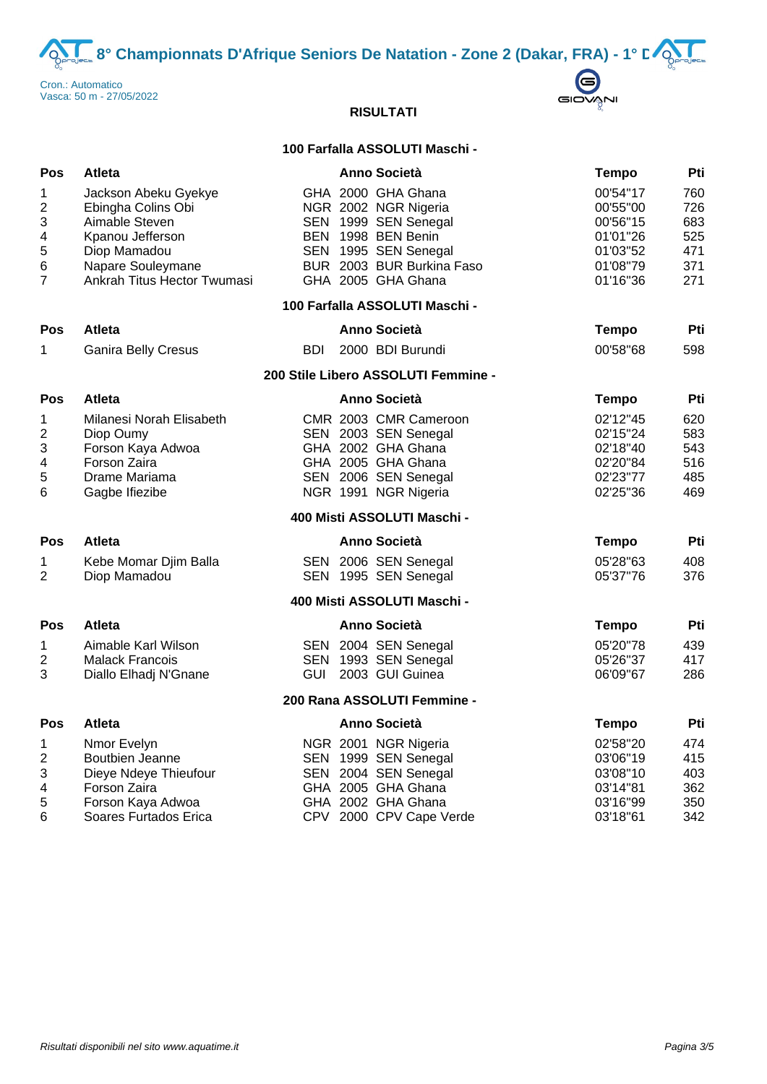**8° Championnats D'Afrique Seniors De Natation - Zone 2 (Dakar, FRA) - 1° D** $\sum_{n=27/05/2022}^{\text{matico}}$ 



# **RISULTATI**

### **100 Farfalla ASSOLUTI Maschi -**

| Pos                                              | Atleta                                                                                                                                               |            | Anno Società                                                                                                                                                        | <b>Tempo</b>                                                                     | Pti                                           |
|--------------------------------------------------|------------------------------------------------------------------------------------------------------------------------------------------------------|------------|---------------------------------------------------------------------------------------------------------------------------------------------------------------------|----------------------------------------------------------------------------------|-----------------------------------------------|
| 1<br>2<br>3<br>4<br>5<br>6<br>$\overline{7}$     | Jackson Abeku Gyekye<br>Ebingha Colins Obi<br>Aimable Steven<br>Kpanou Jefferson<br>Diop Mamadou<br>Napare Souleymane<br>Ankrah Titus Hector Twumasi |            | GHA 2000 GHA Ghana<br>NGR 2002 NGR Nigeria<br>SEN 1999 SEN Senegal<br>BEN 1998 BEN Benin<br>SEN 1995 SEN Senegal<br>BUR 2003 BUR Burkina Faso<br>GHA 2005 GHA Ghana | 00'54"17<br>00'55"00<br>00'56"15<br>01'01"26<br>01'03"52<br>01'08"79<br>01'16"36 | 760<br>726<br>683<br>525<br>471<br>371<br>271 |
|                                                  |                                                                                                                                                      |            | 100 Farfalla ASSOLUTI Maschi -                                                                                                                                      |                                                                                  |                                               |
| Pos                                              | Atleta                                                                                                                                               |            | <b>Anno Società</b>                                                                                                                                                 | <b>Tempo</b>                                                                     | Pti                                           |
| 1                                                | <b>Ganira Belly Cresus</b>                                                                                                                           | <b>BDI</b> | 2000 BDI Burundi                                                                                                                                                    | 00'58"68                                                                         | 598                                           |
|                                                  |                                                                                                                                                      |            | 200 Stile Libero ASSOLUTI Femmine -                                                                                                                                 |                                                                                  |                                               |
| Pos                                              | <b>Atleta</b>                                                                                                                                        |            | Anno Società                                                                                                                                                        | <b>Tempo</b>                                                                     | Pti                                           |
| 1<br>2<br>3<br>$\overline{\mathbf{4}}$<br>5<br>6 | Milanesi Norah Elisabeth<br>Diop Oumy<br>Forson Kaya Adwoa<br>Forson Zaira<br>Drame Mariama<br>Gagbe Ifiezibe                                        |            | CMR 2003 CMR Cameroon<br>SEN 2003 SEN Senegal<br>GHA 2002 GHA Ghana<br>GHA 2005 GHA Ghana<br>SEN 2006 SEN Senegal<br>NGR 1991 NGR Nigeria                           | 02'12"45<br>02'15"24<br>02'18"40<br>02'20"84<br>02'23"77<br>02'25"36             | 620<br>583<br>543<br>516<br>485<br>469        |
|                                                  |                                                                                                                                                      |            | 400 Misti ASSOLUTI Maschi -                                                                                                                                         |                                                                                  |                                               |
| Pos                                              | <b>Atleta</b>                                                                                                                                        |            | <b>Anno Società</b>                                                                                                                                                 | <b>Tempo</b>                                                                     | Pti                                           |
| 1<br>2                                           | Kebe Momar Djim Balla<br>Diop Mamadou                                                                                                                |            | SEN 2006 SEN Senegal<br>SEN 1995 SEN Senegal                                                                                                                        | 05'28"63<br>05'37"76                                                             | 408<br>376                                    |
|                                                  |                                                                                                                                                      |            | 400 Misti ASSOLUTI Maschi -                                                                                                                                         |                                                                                  |                                               |
| Pos                                              | Atleta                                                                                                                                               |            | <b>Anno Società</b>                                                                                                                                                 | <b>Tempo</b>                                                                     | Pti                                           |
| 1<br>2<br>3                                      | Aimable Karl Wilson<br><b>Malack Francois</b><br>Diallo Elhadj N'Gnane                                                                               | <b>GUI</b> | SEN 2004 SEN Senegal<br>SEN 1993 SEN Senegal<br>2003 GUI Guinea                                                                                                     | 05'20"78<br>05'26"37<br>06'09"67                                                 | 439<br>417<br>286                             |
|                                                  |                                                                                                                                                      |            | 200 Rana ASSOLUTI Femmine -                                                                                                                                         |                                                                                  |                                               |
| Pos                                              | <b>Atleta</b>                                                                                                                                        |            | Anno Società                                                                                                                                                        | <b>Tempo</b>                                                                     | Pti                                           |
| 1<br>$\sqrt{2}$<br>3<br>4<br>5<br>6              | Nmor Evelyn<br>Boutbien Jeanne<br>Dieye Ndeye Thieufour<br>Forson Zaira<br>Forson Kaya Adwoa<br>Soares Furtados Erica                                |            | NGR 2001 NGR Nigeria<br>SEN 1999 SEN Senegal<br>SEN 2004 SEN Senegal<br>GHA 2005 GHA Ghana<br>GHA 2002 GHA Ghana<br>CPV 2000 CPV Cape Verde                         | 02'58"20<br>03'06"19<br>03'08"10<br>03'14"81<br>03'16"99<br>03'18"61             | 474<br>415<br>403<br>362<br>350<br>342        |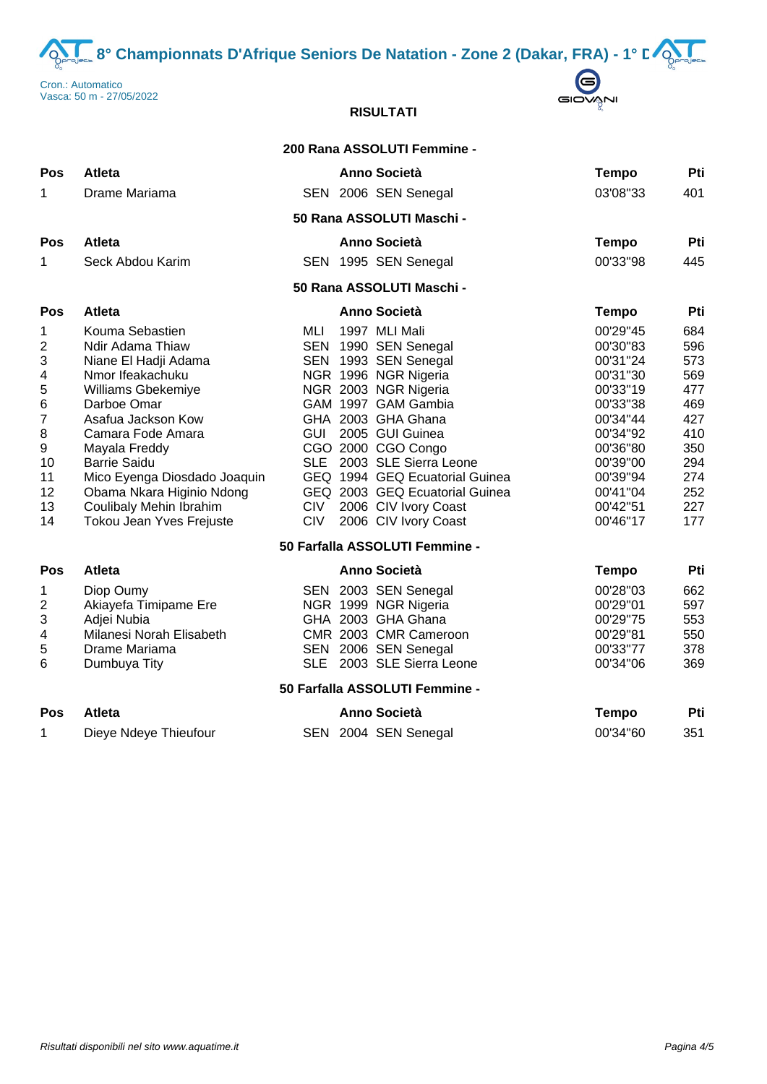8° Championnats D'Afrique Seniors De Natation - Zone 2 (Dakar, FRA) - 1° D<sup>2</sup>





# **RISULTATI**

|                                                                                      |                                                                                                                                                                                                                                                                                                                             |                                 | 200 Rana ASSOLUTI Femmine -                                                                                                                                                                                                                                                                                                                              |                                                                                                                                                                      |                                                                                                |
|--------------------------------------------------------------------------------------|-----------------------------------------------------------------------------------------------------------------------------------------------------------------------------------------------------------------------------------------------------------------------------------------------------------------------------|---------------------------------|----------------------------------------------------------------------------------------------------------------------------------------------------------------------------------------------------------------------------------------------------------------------------------------------------------------------------------------------------------|----------------------------------------------------------------------------------------------------------------------------------------------------------------------|------------------------------------------------------------------------------------------------|
| <b>Pos</b>                                                                           | <b>Atleta</b>                                                                                                                                                                                                                                                                                                               |                                 | <b>Anno Società</b>                                                                                                                                                                                                                                                                                                                                      | <b>Tempo</b>                                                                                                                                                         | Pti                                                                                            |
| 1                                                                                    | Drame Mariama                                                                                                                                                                                                                                                                                                               |                                 | SEN 2006 SEN Senegal                                                                                                                                                                                                                                                                                                                                     | 03'08"33                                                                                                                                                             | 401                                                                                            |
|                                                                                      |                                                                                                                                                                                                                                                                                                                             |                                 | 50 Rana ASSOLUTI Maschi -                                                                                                                                                                                                                                                                                                                                |                                                                                                                                                                      |                                                                                                |
| Pos                                                                                  | Atleta                                                                                                                                                                                                                                                                                                                      |                                 | Anno Società                                                                                                                                                                                                                                                                                                                                             | <b>Tempo</b>                                                                                                                                                         | Pti                                                                                            |
| 1                                                                                    | Seck Abdou Karim                                                                                                                                                                                                                                                                                                            |                                 | SEN 1995 SEN Senegal                                                                                                                                                                                                                                                                                                                                     | 00'33"98                                                                                                                                                             | 445                                                                                            |
|                                                                                      |                                                                                                                                                                                                                                                                                                                             |                                 | 50 Rana ASSOLUTI Maschi -                                                                                                                                                                                                                                                                                                                                |                                                                                                                                                                      |                                                                                                |
| Pos                                                                                  | <b>Atleta</b>                                                                                                                                                                                                                                                                                                               |                                 | <b>Anno Società</b>                                                                                                                                                                                                                                                                                                                                      | <b>Tempo</b>                                                                                                                                                         | Pti                                                                                            |
| 1<br>2<br>3<br>4<br>5<br>6<br>$\overline{7}$<br>8<br>9<br>10<br>11<br>12<br>13<br>14 | Kouma Sebastien<br>Ndir Adama Thiaw<br>Niane El Hadji Adama<br>Nmor Ifeakachuku<br>Williams Gbekemiye<br>Darboe Omar<br>Asafua Jackson Kow<br>Camara Fode Amara<br>Mayala Freddy<br><b>Barrie Saidu</b><br>Mico Eyenga Diosdado Joaquin<br>Obama Nkara Higinio Ndong<br>Coulibaly Mehin Ibrahim<br>Tokou Jean Yves Frejuste | MLI<br><b>CIV</b><br><b>CIV</b> | 1997 MLI Mali<br>SEN 1990 SEN Senegal<br>SEN 1993 SEN Senegal<br>NGR 1996 NGR Nigeria<br>NGR 2003 NGR Nigeria<br>GAM 1997 GAM Gambia<br>GHA 2003 GHA Ghana<br>GUI 2005 GUI Guinea<br>CGO 2000 CGO Congo<br>SLE 2003 SLE Sierra Leone<br>GEQ 1994 GEQ Ecuatorial Guinea<br>GEQ 2003 GEQ Ecuatorial Guinea<br>2006 CIV Ivory Coast<br>2006 CIV Ivory Coast | 00'29"45<br>00'30"83<br>00'31"24<br>00'31"30<br>00'33"19<br>00'33"38<br>00'34"44<br>00'34"92<br>00'36"80<br>00'39"00<br>00'39"94<br>00'41"04<br>00'42"51<br>00'46"17 | 684<br>596<br>573<br>569<br>477<br>469<br>427<br>410<br>350<br>294<br>274<br>252<br>227<br>177 |
|                                                                                      |                                                                                                                                                                                                                                                                                                                             |                                 | 50 Farfalla ASSOLUTI Femmine -                                                                                                                                                                                                                                                                                                                           |                                                                                                                                                                      |                                                                                                |
| Pos<br>1<br>2                                                                        | <b>Atleta</b><br>Diop Oumy<br>Akiayefa Timipame Ere                                                                                                                                                                                                                                                                         |                                 | <b>Anno Società</b><br>SEN 2003 SEN Senegal<br>NGR 1999 NGR Nigeria                                                                                                                                                                                                                                                                                      | <b>Tempo</b><br>00'28"03<br>00'29"01                                                                                                                                 | Pti<br>662<br>597                                                                              |
| 3<br>4<br>5<br>6                                                                     | Adjei Nubia<br>Milanesi Norah Elisabeth<br>Drame Mariama<br>Dumbuya Tity                                                                                                                                                                                                                                                    |                                 | GHA 2003 GHA Ghana<br>CMR 2003 CMR Cameroon<br>SEN 2006 SEN Senegal<br>SLE 2003 SLE Sierra Leone                                                                                                                                                                                                                                                         | 00'29"75<br>00'29"81<br>00'33"77<br>00'34"06                                                                                                                         | 553<br>550<br>378<br>369                                                                       |
|                                                                                      |                                                                                                                                                                                                                                                                                                                             |                                 | 50 Farfalla ASSOLUTI Femmine -                                                                                                                                                                                                                                                                                                                           |                                                                                                                                                                      |                                                                                                |
| <b>Pos</b>                                                                           | <b>Atleta</b>                                                                                                                                                                                                                                                                                                               |                                 | <b>Anno Società</b>                                                                                                                                                                                                                                                                                                                                      | <b>Tempo</b>                                                                                                                                                         | Pti                                                                                            |
| 1                                                                                    | Dieye Ndeye Thieufour                                                                                                                                                                                                                                                                                                       |                                 | SEN 2004 SEN Senegal                                                                                                                                                                                                                                                                                                                                     | 00'34"60                                                                                                                                                             | 351                                                                                            |